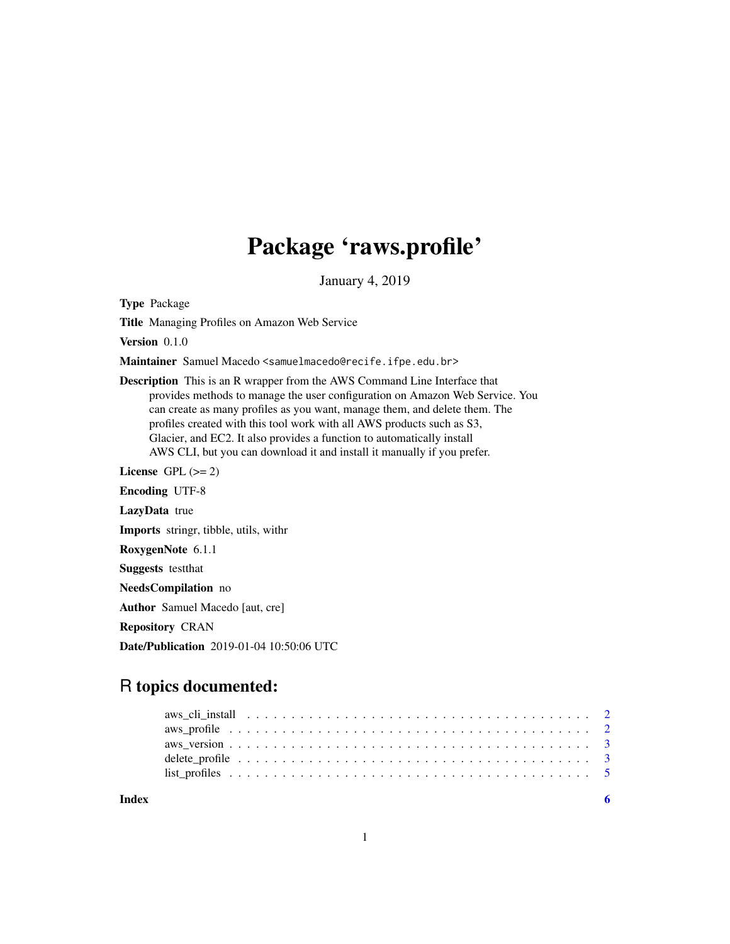## Package 'raws.profile'

January 4, 2019

Type Package

Title Managing Profiles on Amazon Web Service

Version 0.1.0

Maintainer Samuel Macedo <samuelmacedo@recife.ifpe.edu.br>

Description This is an R wrapper from the AWS Command Line Interface that provides methods to manage the user configuration on Amazon Web Service. You can create as many profiles as you want, manage them, and delete them. The profiles created with this tool work with all AWS products such as S3, Glacier, and EC2. It also provides a function to automatically install AWS CLI, but you can download it and install it manually if you prefer.

License GPL  $(>= 2)$ 

Encoding UTF-8

LazyData true

Imports stringr, tibble, utils, withr

RoxygenNote 6.1.1

Suggests testthat

NeedsCompilation no

Author Samuel Macedo [aut, cre]

Repository CRAN

Date/Publication 2019-01-04 10:50:06 UTC

### R topics documented:

| Index |  |  |  |  |  |  |  |  |  |  |  |  |  |  |  |  |  |
|-------|--|--|--|--|--|--|--|--|--|--|--|--|--|--|--|--|--|
|       |  |  |  |  |  |  |  |  |  |  |  |  |  |  |  |  |  |
|       |  |  |  |  |  |  |  |  |  |  |  |  |  |  |  |  |  |
|       |  |  |  |  |  |  |  |  |  |  |  |  |  |  |  |  |  |
|       |  |  |  |  |  |  |  |  |  |  |  |  |  |  |  |  |  |
|       |  |  |  |  |  |  |  |  |  |  |  |  |  |  |  |  |  |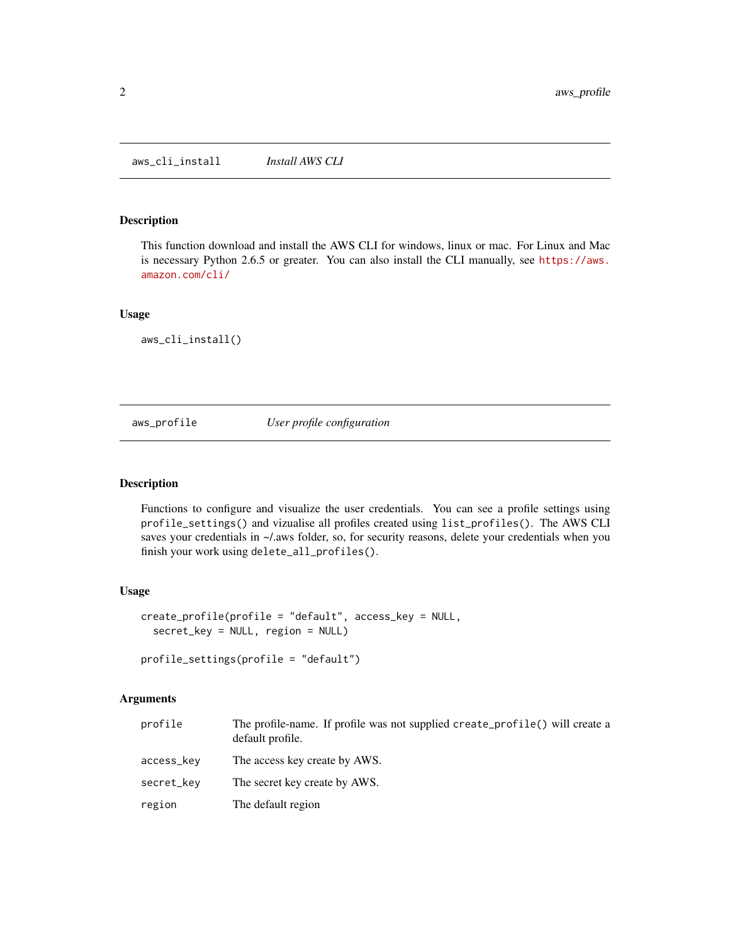#### <span id="page-1-0"></span>Description

This function download and install the AWS CLI for windows, linux or mac. For Linux and Mac is necessary Python 2.6.5 or greater. You can also install the CLI manually, see [https://aws.](https://aws.amazon.com/cli/) [amazon.com/cli/](https://aws.amazon.com/cli/)

#### Usage

aws\_cli\_install()

#### aws\_profile *User profile configuration*

#### Description

Functions to configure and visualize the user credentials. You can see a profile settings using profile\_settings() and vizualise all profiles created using list\_profiles(). The AWS CLI saves your credentials in  $\sim$ /.aws folder, so, for security reasons, delete your credentials when you finish your work using delete\_all\_profiles().

#### Usage

```
create_profile(profile = "default", access_key = NULL,
  secret_key = NULL, region = NULL)
```

```
profile_settings(profile = "default")
```
#### Arguments

| profile    | The profile-name. If profile was not supplied create_profile() will create a<br>default profile. |
|------------|--------------------------------------------------------------------------------------------------|
| access_kev | The access key create by AWS.                                                                    |
| secret_kev | The secret key create by AWS.                                                                    |
| region     | The default region                                                                               |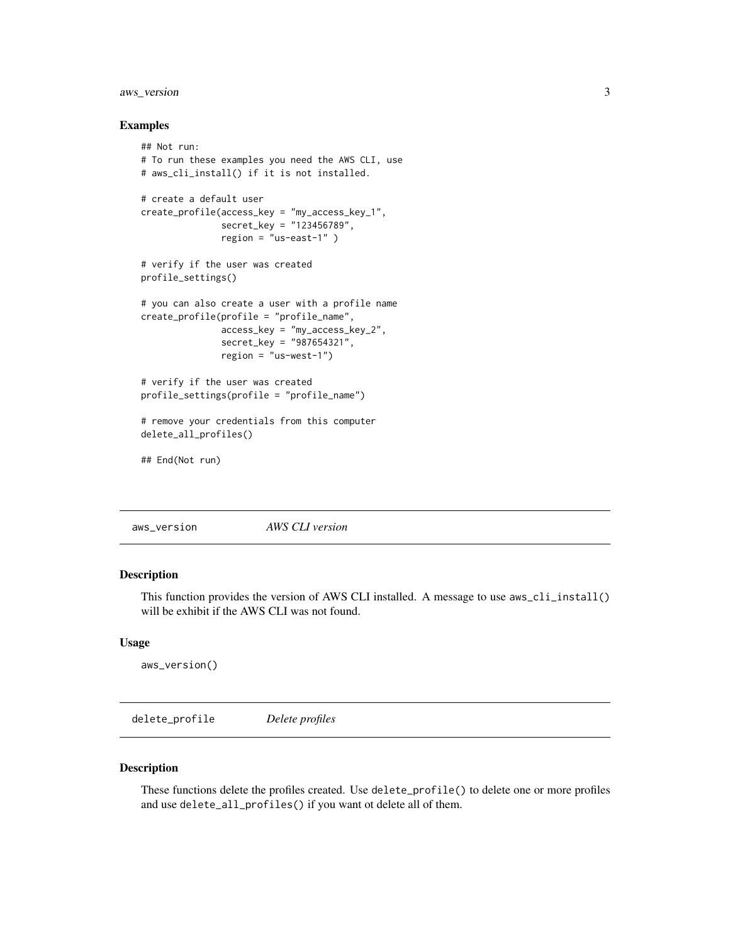#### <span id="page-2-0"></span>aws\_version 3

#### Examples

```
## Not run:
# To run these examples you need the AWS CLI, use
# aws_cli_install() if it is not installed.
# create a default user
create_profile(access_key = "my_access_key_1",
               secret_key = "123456789",
              region = "us-east-1" )# verify if the user was created
profile_settings()
# you can also create a user with a profile name
create_profile(profile = "profile_name",
              access_key = "my_access_key_2",
              secret_key = "987654321",
              region = "us-west-1")
# verify if the user was created
profile_settings(profile = "profile_name")
# remove your credentials from this computer
delete_all_profiles()
## End(Not run)
```
aws\_version *AWS CLI version*

#### Description

This function provides the version of AWS CLI installed. A message to use aws\_cli\_install() will be exhibit if the AWS CLI was not found.

#### Usage

```
aws_version()
```
delete\_profile *Delete profiles*

#### Description

These functions delete the profiles created. Use delete\_profile() to delete one or more profiles and use delete\_all\_profiles() if you want ot delete all of them.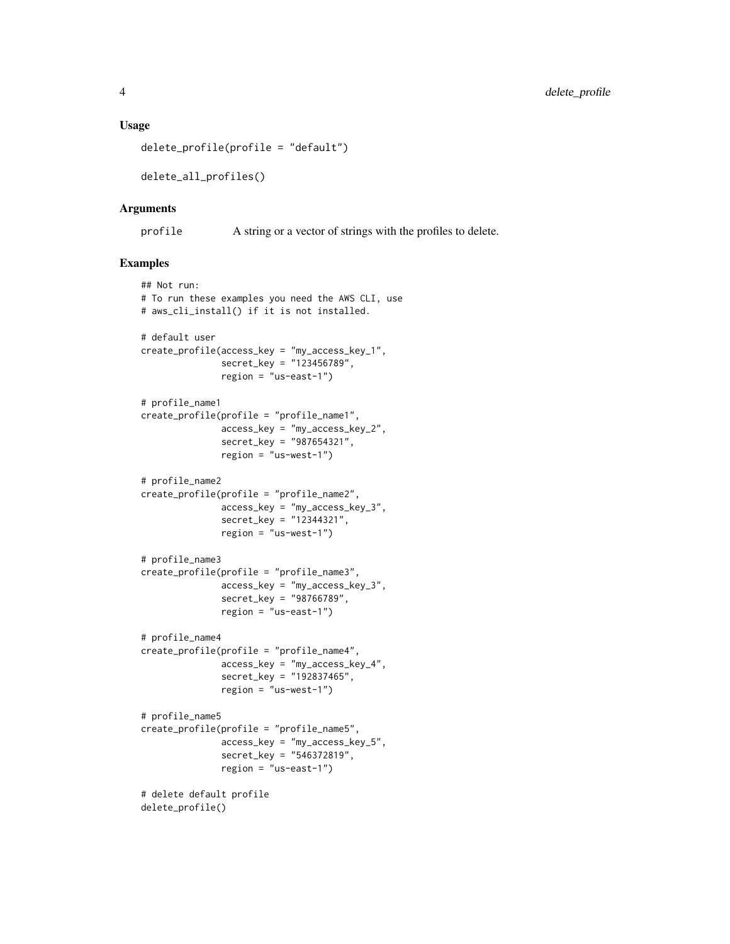#### Usage

```
delete_profile(profile = "default")
```
delete\_all\_profiles()

#### Arguments

profile A string or a vector of strings with the profiles to delete.

#### Examples

```
## Not run:
# To run these examples you need the AWS CLI, use
# aws_cli_install() if it is not installed.
# default user
create_profile(access_key = "my_access_key_1",
              secret_key = "123456789",
               region = "us-east-1")
# profile_name1
create_profile(profile = "profile_name1",
               access_key = "my_access_key_2",
               secret_key = "987654321",
               region = "us-west-1")
# profile_name2
create_profile(profile = "profile_name2",
               access_key = "my_access_key_3",
               secret_key = "12344321",
               region = "us-west-1")
# profile_name3
create_profile(profile = "profile_name3",
               access_key = "my_access_key_3",
               secret_key = "98766789",
               region = "us-east-1")
# profile_name4
create_profile(profile = "profile_name4",
               access_key = "my_access_key_4",
               secret_key = "192837465",
               region = "us-west-1")
# profile_name5
create_profile(profile = "profile_name5",
               access_key = "my_access_key_5",
               secret_key = "546372819",
               region = "us-east-1")# delete default profile
delete_profile()
```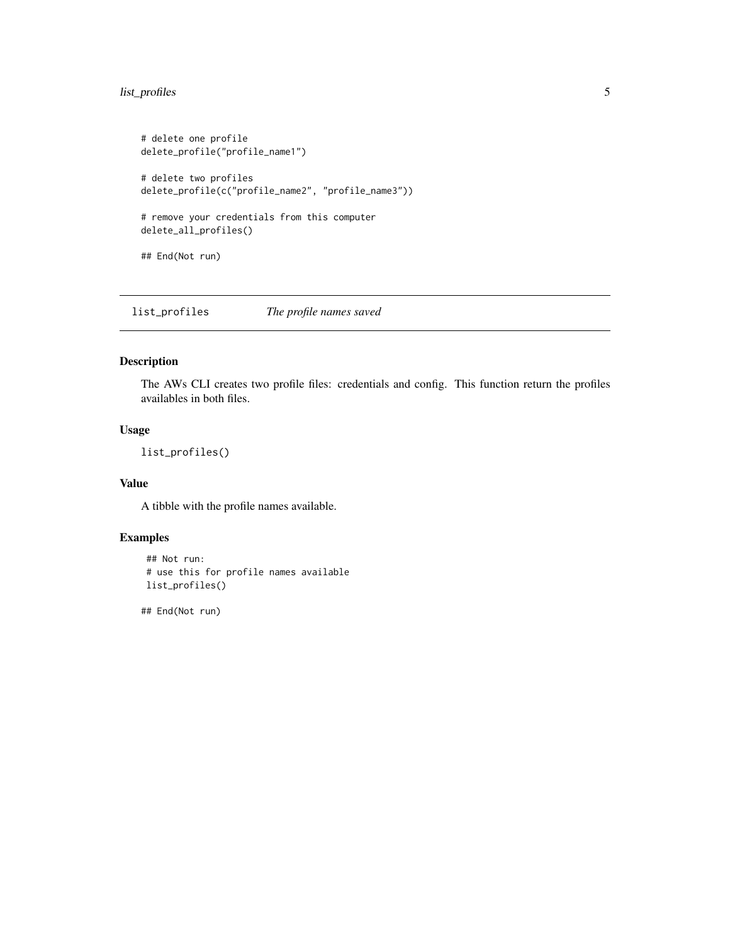#### <span id="page-4-0"></span>list\_profiles 5

```
# delete one profile
delete_profile("profile_name1")
# delete two profiles
delete_profile(c("profile_name2", "profile_name3"))
# remove your credentials from this computer
delete_all_profiles()
## End(Not run)
```
list\_profiles *The profile names saved*

#### Description

The AWs CLI creates two profile files: credentials and config. This function return the profiles availables in both files.

#### Usage

list\_profiles()

#### Value

A tibble with the profile names available.

#### Examples

```
## Not run:
# use this for profile names available
list_profiles()
```
## End(Not run)